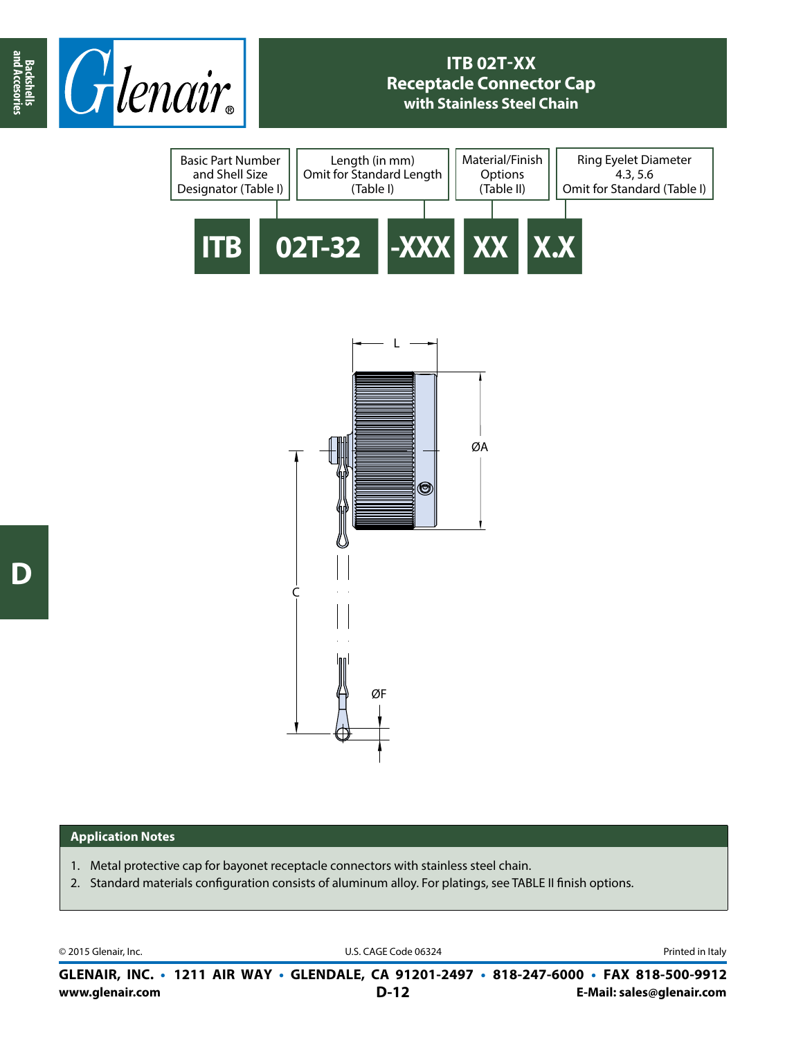

## **ITB 02T-XX Receptacle Connector Cap with Stainless Steel Chain**





## **Application Notes**

- 1. Metal protective cap for bayonet receptacle connectors with stainless steel chain.
- 2. Standard materials configuration consists of aluminum alloy. For platings, see TABLE II finish options.

© 2015 Glenair, Inc. U.S. CAGE Code 06324 Printed in Italy

**www.glenair.com E-Mail: sales@glenair.com GLENAIR, INC. • 1211 AIR WAY • GLENDALE, CA 91201-2497 • 818-247-6000 • FAX 818-500-9912 D-12**

**and Accesories**